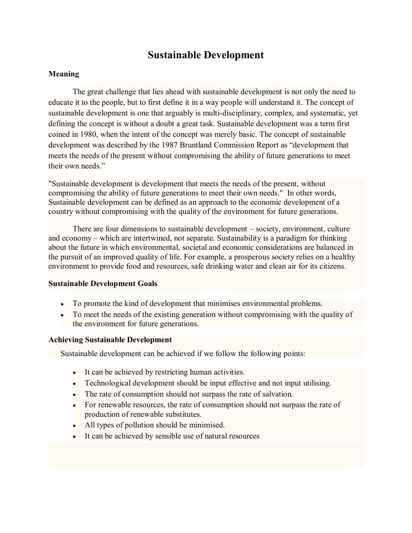# **Sustainable Development**

## **Meaning**

The great challenge that lies ahead with sustainable development is not only the need to educate it to the people, but to first define it in a way people will understand it. The concept of sustainable development is one that arguably is multi-disciplinary, complex, and systematic, yet defining the concept is without a doubt a great task. Sustainable development was a term first coined in 1980, when the intent of the concept was merely basic. The concept of sustainable development was described by the 1987 Bruntland Commission Report as "development that meets the needs of the present without compromising the ability of future generations to meet their own needs."

"Sustainable development is development that meets the needs of the present, without compromising the ability of future generations to meet their own needs." In other words, Sustainable development can be defined as an approach to the economic development of a country without compromising with the quality of the environment for future generations.

There are four dimensions to sustainable development – society, environment, culture and economy – which are intertwined, not separate. Sustainability is a paradigm for thinking about the future in which environmental, societal and economic considerations are balanced in the pursuit of an improved quality of life. For example, a prosperous society relies on a healthy environment to provide food and resources, safe drinking water and clean air for its citizens.

### **Sustainable Development Goals**

- To promote the kind of development that minimises environmental problems.
- To meet the needs of the existing generation without compromising with the quality of the environment for future generations.

#### **Achieving Sustainable Development**

Sustainable development can be achieved if we follow the following points:

- It can be achieved by restricting human activities.
- Technological development should be input effective and not input utilising.
- The rate of consumption should not surpass the rate of salvation.
- For renewable resources, the rate of consumption should not surpass the rate of production of renewable substitutes.
- All types of pollution should be minimised.
- It can be achieved by sensible use of natural resources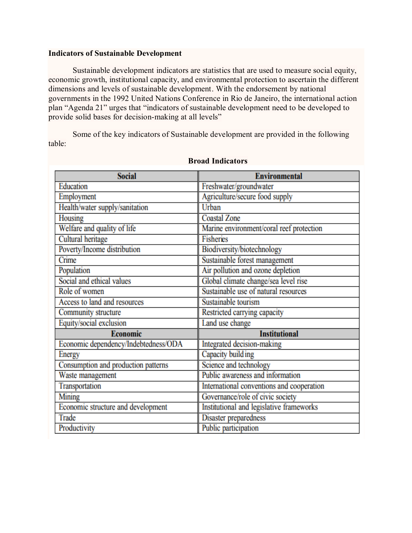#### **Indicators of Sustainable Development**

Sustainable development indicators are statistics that are used to measure social equity, economic growth, institutional capacity, and environmental protection to ascertain the different dimensions and levels of sustainable development. With the endorsement by national governments in the 1992 United Nations Conference in Rio de Janeiro, the international action plan "Agenda 21" urges that "indicators of sustainable development need to be developed to provide solid bases for decision-making at all levels"

Some of the key indicators of Sustainable development are provided in the following table:

| <b>Social</b>                        | <b>Environmental</b>                      |
|--------------------------------------|-------------------------------------------|
| Education                            | Freshwater/groundwater                    |
| Employment                           | Agriculture/secure food supply            |
| Health/water supply/sanitation       | Urban                                     |
| Housing                              | <b>Coastal Zone</b>                       |
| Welfare and quality of life          | Marine environment/coral reef protection  |
| Cultural heritage                    | <b>Fisheries</b>                          |
| Poverty/Income distribution          | Biodiversity/biotechnology                |
| Crime                                | Sustainable forest management             |
| Population                           | Air pollution and ozone depletion         |
| Social and ethical values            | Global climate change/sea level rise      |
| Role of women                        | Sustainable use of natural resources      |
| Access to land and resources         | Sustainable tourism                       |
| Community structure                  | Restricted carrying capacity              |
| Equity/social exclusion              | Land use change                           |
| <b>Economic</b>                      | <b>Institutional</b>                      |
| Economic dependency/Indebtedness/ODA | Integrated decision-making                |
| Energy                               | Capacity building                         |
| Consumption and production patterns  | Science and technology                    |
| Waste management                     | Public awareness and information          |
| Transportation                       | International conventions and cooperation |
| Mining                               | Governance/role of civic society          |
| Economic structure and development   | Institutional and legislative frameworks  |
| Trade                                | Disaster preparedness                     |
| Productivity                         | Public participation                      |

#### **Broad Indicators**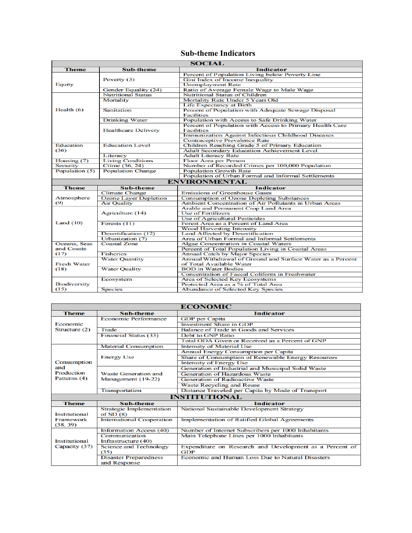## **Sub-theme Indicators**

| <b>SOCIAL</b>       |                              |                                                            |
|---------------------|------------------------------|------------------------------------------------------------|
| <b>Theme</b>        | <b>Sub-theme</b>             | <b>Indicator</b>                                           |
|                     |                              | Percent of Population Living below Poverty Line            |
|                     | Poverty (3)                  | Gini Index of Income Inequality                            |
| Equity              |                              | <b>Unemployment Rate</b>                                   |
|                     | Gender Equality (24)         | Ratio of Average Female Wage to Male Wage                  |
|                     | <b>Nutritional Status</b>    | <b>Nutritional Status of Children</b>                      |
|                     | Mortality                    | Mortality Rate Under 5 Years Old                           |
|                     |                              | Life Expectancy at Birth                                   |
| Health $(6)$        | <b>Sanitation</b>            | Percent of Population with Adequate Sewage Disposal        |
|                     |                              | <b>Facilities</b>                                          |
|                     | <b>Drinking Water</b>        | Population with Access to Safe Drinking Water              |
|                     |                              | Percent of Population with Access to Primary Health Care   |
|                     | <b>Healthcare Delivery</b>   | <b>Facilities</b>                                          |
|                     |                              | Immunization Against Infectious Childhood Diseases         |
|                     |                              | <b>Contraceptive Prevalence Rate</b>                       |
| <b>Education</b>    | <b>Education Level</b>       | Children Reaching Grade 5 of Primary Education             |
| (36)                |                              | <b>Adult Secondary Education Achievement Level</b>         |
|                     | Literacy                     | <b>Adult Literacy Rate</b>                                 |
| Housing (7)         | <b>Living Conditions</b>     | <b>Floor Area per Person</b>                               |
| <b>Security</b>     | Crime (36, 24)               | Number of Recorded Crimes per 100,000 Population           |
| Population (5)      | <b>Population Change</b>     | <b>Population Growth Rate</b>                              |
|                     |                              | Population of Urban Formal and Informal Settlements        |
|                     |                              | <b>ENVIRONMENTAL</b>                                       |
| <b>Theme</b>        | <b>Sub-theme</b>             | <b>Indicator</b>                                           |
|                     | <b>Climate Change</b>        | <b>Emissions of Greenhouse Gases</b>                       |
| Atmosphere          | <b>Ozone Layer Depletion</b> | <b>Consumption of Ozone Depleting Substances</b>           |
| (9)                 | <b>Air Quality</b>           | Ambient Concentration of Air Pollutants in Urban Areas     |
|                     |                              | Arable and Permanent Crop Land Area                        |
|                     | Agriculture (14)             | <b>Use of Fertilizers</b>                                  |
|                     |                              | Use of Agricultural Pesticides                             |
| Land $(10)$         | Forests $(11)$               | Forest Area as a Percent of Land Area                      |
|                     |                              | <b>Wood Harvesting Intensity</b>                           |
|                     | Desertification (12)         | <b>Land Affected by Desertification</b>                    |
|                     | Urbanization (7)             | Area of Urban Formal and Informal Settlements              |
| Oceans, Seas        | <b>Coastal Zone</b>          | <b>Algae Concentration in Coastal Waters</b>               |
| and Coasts          |                              | Percent of Total Population Living in Coastal Areas        |
| (17)                | <b>Fisheries</b>             | <b>Annual Catch by Major Species</b>                       |
|                     | <b>Water Quantity</b>        | Annual Withdrawal of Ground and Surface Water as a Percent |
| <b>Fresh Water</b>  |                              | of Total Available Water                                   |
| (18)                | <b>Water Quality</b>         | <b>BOD</b> in Water Bodies                                 |
|                     |                              | Concentration of Faecal Coliform in Freshwater             |
|                     | Ecosystem                    | Area of Selected Key Ecosystems                            |
| <b>Biodiversity</b> |                              | Protected Area as a % of Total Area                        |
| (15)                | <b>Species</b>               | Abundance of Selected Key Species                          |
|                     |                              |                                                            |

| <b>ECONOMIC</b>                |                                  |                                                         |  |
|--------------------------------|----------------------------------|---------------------------------------------------------|--|
| <b>Theme</b>                   | <b>Sub-theme</b>                 | <b>Indicator</b>                                        |  |
| Economic<br>Structure (2)      | <b>Economic Performance</b>      | <b>GDP</b> per Capita                                   |  |
|                                |                                  | <b>Investment Share in GDP</b>                          |  |
|                                | Trade                            | Balance of Trade in Goods and Services                  |  |
|                                | <b>Financial Status (33)</b>     | <b>Debt to GNP Ratio</b>                                |  |
|                                |                                  | Total ODA Given or Received as a Percent of GNP         |  |
|                                | <b>Material Consumption</b>      | <b>Intensity of Material Use</b>                        |  |
|                                |                                  | Annual Energy Consumption per Capita                    |  |
|                                | <b>Energy Use</b>                | Share of Consumption of Renewable Energy Resources      |  |
| Consumption                    |                                  | <b>Intensity of Energy Use</b>                          |  |
| and<br><b>Production</b>       |                                  | Generation of Industrial and Municipal Solid Waste      |  |
|                                | <b>Waste Generation and</b>      | <b>Generation of Hazardous Waste</b>                    |  |
| Patterns (4)                   | Management (19-22)               | <b>Generation of Radioactive Waste</b>                  |  |
|                                |                                  | Waste Recycling and Reuse                               |  |
|                                | <b>Transportation</b>            | Distance Traveled per Capita by Mode of Transport       |  |
| <b>INSTITUTIONAL</b>           |                                  |                                                         |  |
| <b>Theme</b>                   | Sub-theme                        | <b>Indicator</b>                                        |  |
|                                | <b>Strategic Implementation</b>  | <b>National Sustainable Development Strategy</b>        |  |
| Institutional                  | of $SD(8)$                       |                                                         |  |
| Framework                      | <b>International Cooperation</b> | <b>Implementation of Ratified Global Agreements</b>     |  |
| (38, 39)                       |                                  |                                                         |  |
| Institutional<br>Capacity (37) | <b>Information Access (40)</b>   | Number of Internet Subscribers per 1000 Inhabitants     |  |
|                                | Communication                    | Main Telephone Lines per 1000 Inhabitants               |  |
|                                | Infrastructure (40)              |                                                         |  |
|                                | <b>Science and Technology</b>    | Expenditure on Research and Development as a Percent of |  |
|                                | (35)                             | GDP                                                     |  |
|                                | <b>Disaster Preparedness</b>     | Economic and Human Loss Due to Natural Disasters        |  |
|                                | and Response                     |                                                         |  |